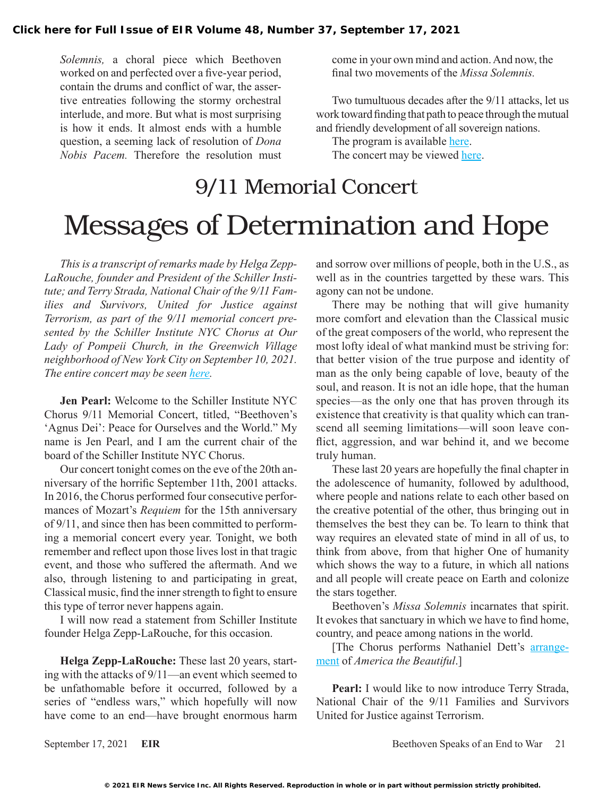*Solemnis,* a choral piece which Beethoven worked on and perfected over a five-year period, contain the drums and conflict of war, the assertive entreaties following the stormy orchestral interlude, and more. But what is most surprising is how it ends. It almost ends with a humble question, a seeming lack of resolution of *Dona Nobis Pacem.* Therefore the resolution must

come in your own mind and action. And now, the final two movements of the *Missa Solemnis.*

Two tumultuous decades after the 9/11 attacks, let us work toward finding that path to peace through the mutual and friendly development of all sovereign nations.

The program is available [here](https://drive.google.com/file/d/1zg5w3C9j3MGOhAtWyKhYeznoaIHI-h1W/view).

The concert may be viewed [here.](https://www.musae.me/sinycchorus/experiences/1140/911-memorial)

## 9/11 Memorial Concert Messages of Determination and Hope

*This is a transcript of remarks made by Helga Zepp-LaRouche, founder and President of the Schiller Institute; and Terry Strada, National Chair of the 9/11 Families and Survivors, United for Justice against Terrorism, as part of the 9/11 memorial concert presented by the Schiller Institute NYC Chorus at Our Lady of Pompeii Church, in the Greenwich Village neighborhood of New York City on September 10, 2021. The entire concert may be seen [here.](https://www.musae.me/sinycchorus/experiences/1140/911-memorial)*

**Jen Pearl:** Welcome to the Schiller Institute NYC Chorus 9/11 Memorial Concert, titled, "Beethoven's 'Agnus Dei': Peace for Ourselves and the World." My name is Jen Pearl, and I am the current chair of the board of the Schiller Institute NYC Chorus.

Our concert tonight comes on the eve of the 20th anniversary of the horrific September 11th, 2001 attacks. In 2016, the Chorus performed four consecutive performances of Mozart's *Requiem* for the 15th anniversary of 9/11, and since then has been committed to performing a memorial concert every year. Tonight, we both remember and reflect upon those lives lost in that tragic event, and those who suffered the aftermath. And we also, through listening to and participating in great, Classical music, find the inner strength to fight to ensure this type of terror never happens again.

I will now read a statement from Schiller Institute founder Helga Zepp-LaRouche, for this occasion.

**Helga Zepp-LaRouche:** These last 20 years, starting with the attacks of 9/11—an event which seemed to be unfathomable before it occurred, followed by a series of "endless wars," which hopefully will now have come to an end—have brought enormous harm and sorrow over millions of people, both in the U.S., as well as in the countries targetted by these wars. This agony can not be undone.

There may be nothing that will give humanity more comfort and elevation than the Classical music of the great composers of the world, who represent the most lofty ideal of what mankind must be striving for: that better vision of the true purpose and identity of man as the only being capable of love, beauty of the soul, and reason. It is not an idle hope, that the human species—as the only one that has proven through its existence that creativity is that quality which can transcend all seeming limitations—will soon leave conflict, aggression, and war behind it, and we become truly human.

These last 20 years are hopefully the final chapter in the adolescence of humanity, followed by adulthood, where people and nations relate to each other based on the creative potential of the other, thus bringing out in themselves the best they can be. To learn to think that way requires an elevated state of mind in all of us, to think from above, from that higher One of humanity which shows the way to a future, in which all nations and all people will create peace on Earth and colonize the stars together.

Beethoven's *Missa Solemnis* incarnates that spirit. It evokes that sanctuary in which we have to find home, country, and peace among nations in the world.

[The Chorus performs Nathaniel Dett's [arrange](https://www.loc.gov/resource/ihas.200201061.0/?sp=2)[ment](https://www.loc.gov/resource/ihas.200201061.0/?sp=2) of *America the Beautiful*.]

Pearl: I would like to now introduce Terry Strada, National Chair of the 9/11 Families and Survivors United for Justice against Terrorism.